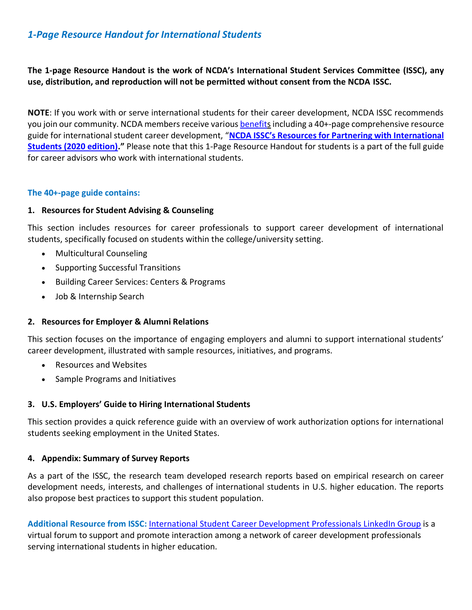# *1-Page Resource Handout for International Students*

**The 1-page Resource Handout is the work of NCDA's International Student Services Committee (ISSC), any use, distribution, and reproduction will not be permitted without consent from the NCDA ISSC.**

**NOTE**: If you work with or serve international students for their career development, NCDA ISSC recommends you join our community. NCDA members receive variou[s benefits](https://www.ncda.org/aws/NCDA/pt/sp/membership) including a 40+-page comprehensive resource guide for international student career development, "**[NCDA ISSC's Resources for Partnering with International](https://www.ncda.org/aws/NCDA/asset_manager/get_file/64588?ver=72150)  [Students \(2020 edition\)](https://www.ncda.org/aws/NCDA/asset_manager/get_file/64588?ver=72150)."** Please note that this 1-Page Resource Handout for students is a part of the full guide for career advisors who work with international students.

# **The 40+-page guide contains:**

# **1. Resources for Student Advising & Counseling**

This section includes resources for career professionals to support career development of international students, specifically focused on students within the college/university setting.

- Multicultural Counseling
- Supporting Successful Transitions
- Building Career Services: Centers & Programs
- Job & Internship Search

# **2. Resources for Employer & Alumni Relations**

This section focuses on the importance of engaging employers and alumni to support international students' career development, illustrated with sample resources, initiatives, and programs.

- Resources and Websites
- Sample Programs and Initiatives

# **3. U.S. Employers' Guide to Hiring International Students**

This section provides a quick reference guide with an overview of work authorization options for international students seeking employment in the United States.

# **4. Appendix: Summary of Survey Reports**

As a part of the ISSC, the research team developed research reports based on empirical research on career development needs, interests, and challenges of international students in U.S. higher education. The reports also propose best practices to support this student population.

**Additional Resource from ISSC:** [International Student Career Development Professionals LinkedIn Group](https://www.linkedin.com/groups/4509171/) is a virtual forum to support and promote interaction among a network of career development professionals serving international students in higher education.